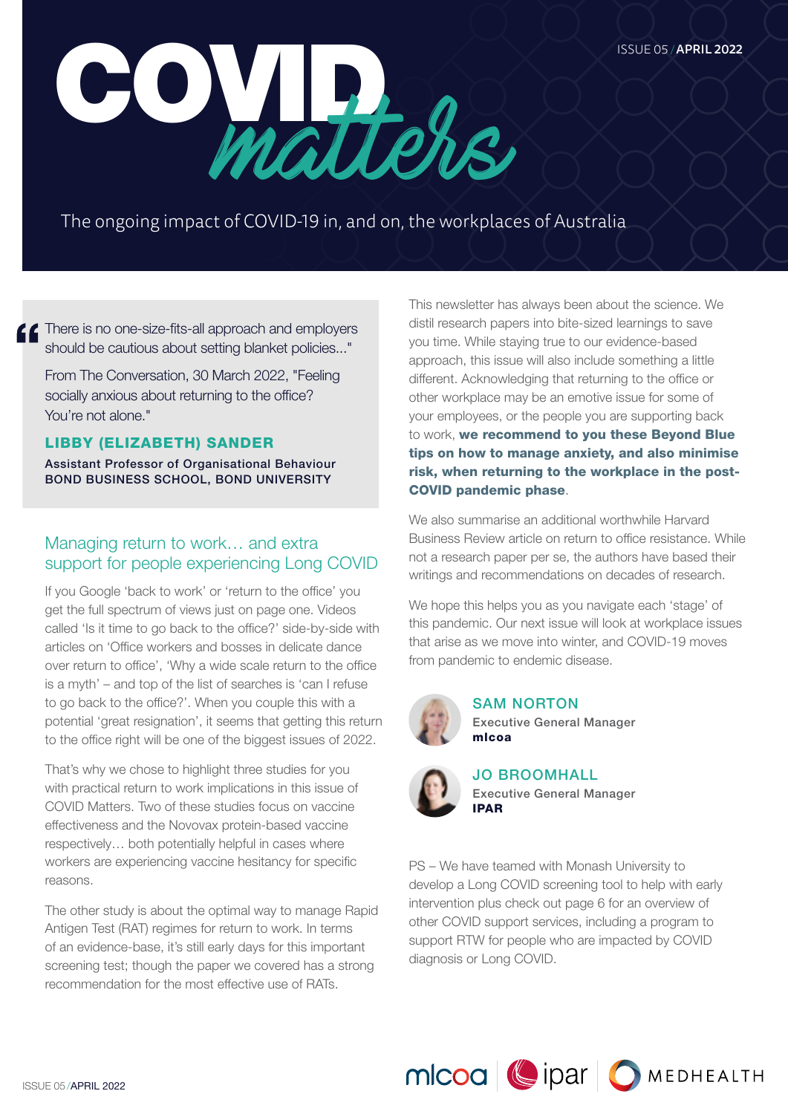

The ongoing impact of COVID-19 in, and on, the workplaces of Australia

**f** f There is no one-size-fits-all approach and employers should be cautious about setting blanket policies..."

From The Conversation, 30 March 2022, "Feeling socially anxious about returning to the office? You're not alone."

#### LIBBY (ELIZABETH) SANDER

Assistant Professor of Organisational Behaviour BOND BUSINESS SCHOOL, BOND UNIVERSITY

# Managing return to work… and extra support for people experiencing Long COVID

If you Google 'back to work' or 'return to the office' you get the full spectrum of views just on page one. Videos called 'Is it time to go back to the office?' side-by-side with articles on 'Office workers and bosses in delicate dance over return to office', 'Why a wide scale return to the office is a myth' – and top of the list of searches is 'can I refuse to go back to the office?'. When you couple this with a potential 'great resignation', it seems that getting this return to the office right will be one of the biggest issues of 2022.

That's why we chose to highlight three studies for you with practical return to work implications in this issue of COVID Matters. Two of these studies focus on vaccine effectiveness and the Novovax protein-based vaccine respectively… both potentially helpful in cases where workers are experiencing vaccine hesitancy for specific reasons.

The other study is about the optimal way to manage Rapid Antigen Test (RAT) regimes for return to work. In terms of an evidence-base, it's still early days for this important screening test; though the paper we covered has a strong recommendation for the most effective use of RATs.

This newsletter has always been about the science. We distil research papers into bite-sized learnings to save you time. While staying true to our evidence-based approach, this issue will also include something a little different. Acknowledging that returning to the office or other workplace may be an emotive issue for some of your employees, or the people you are supporting back to work, we recommend to you these Beyond Blue [tips on how to manage anxiety, and also minimise](https://coronavirus.beyondblue.org.au/impacts-on-my-work/working-from-home/tips-for-managing-back-to-work-anxiety)  [risk, when returning to the workplace in the post-](https://coronavirus.beyondblue.org.au/impacts-on-my-work/working-from-home/tips-for-managing-back-to-work-anxiety)[COVID pandemic phase](https://coronavirus.beyondblue.org.au/impacts-on-my-work/working-from-home/tips-for-managing-back-to-work-anxiety).

We also summarise an additional worthwhile Harvard Business Review article on return to office resistance. While not a research paper per se, the authors have based their writings and recommendations on decades of research.

We hope this helps you as you navigate each 'stage' of this pandemic. Our next issue will look at workplace issues that arise as we move into winter, and COVID-19 moves from pandemic to endemic disease.



SAM NORTON Executive General Manager mlcoa



JO BROOMHALL Executive General Manager IPAR

PS – We have teamed with Monash University to develop a Long COVID screening tool to help with early intervention plus check out page 6 for an overview of other COVID support services, including a program to support RTW for people who are impacted by COVID diagnosis or Long COVID.

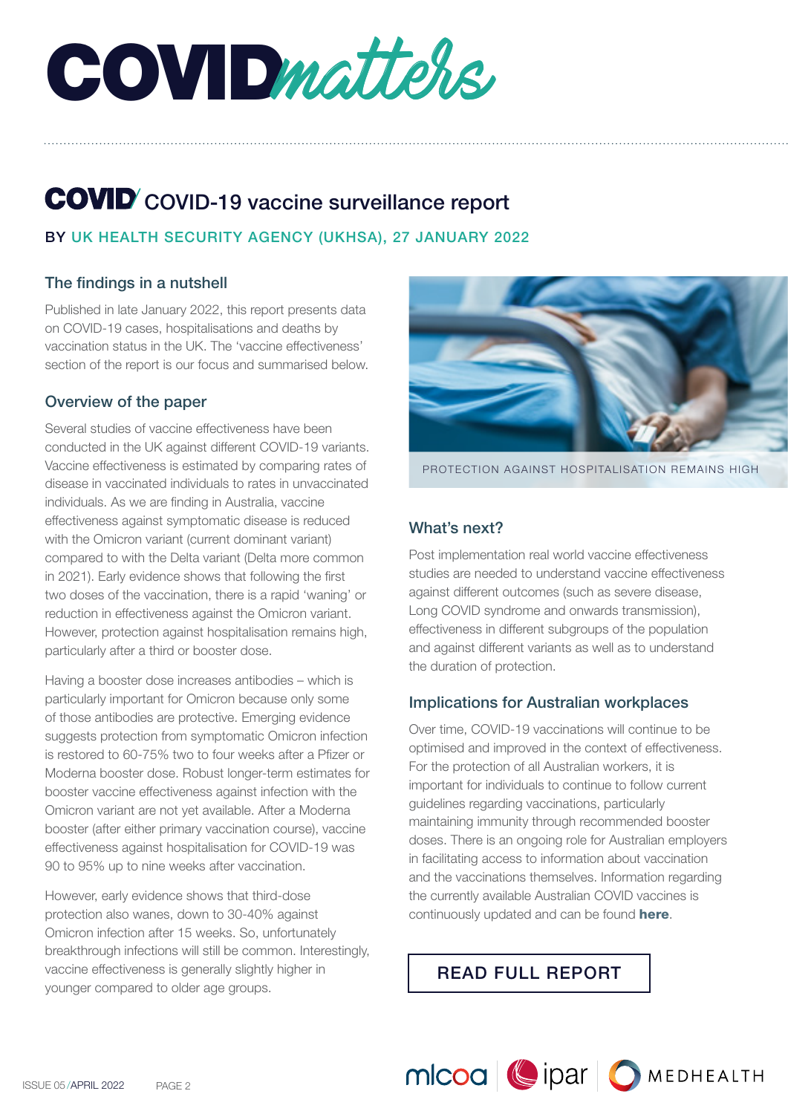COVIDmatters,

# COVID-19 vaccine surveillance report

# BY UK HEALTH SECURITY AGENCY (UKHSA), 27 JANUARY 2022

## The findings in a nutshell

Published in late January 2022, this report presents data on COVID-19 cases, hospitalisations and deaths by vaccination status in the UK. The 'vaccine effectiveness' section of the report is our focus and summarised below.

#### Overview of the paper

Several studies of vaccine effectiveness have been conducted in the UK against different COVID-19 variants. Vaccine effectiveness is estimated by comparing rates of disease in vaccinated individuals to rates in unvaccinated individuals. As we are finding in Australia, vaccine effectiveness against symptomatic disease is reduced with the Omicron variant (current dominant variant) compared to with the Delta variant (Delta more common in 2021). Early evidence shows that following the first two doses of the vaccination, there is a rapid 'waning' or reduction in effectiveness against the Omicron variant. However, protection against hospitalisation remains high, particularly after a third or booster dose.

Having a booster dose increases antibodies – which is particularly important for Omicron because only some of those antibodies are protective. Emerging evidence suggests protection from symptomatic Omicron infection is restored to 60-75% two to four weeks after a Pfizer or Moderna booster dose. Robust longer-term estimates for booster vaccine effectiveness against infection with the Omicron variant are not yet available. After a Moderna booster (after either primary vaccination course), vaccine effectiveness against hospitalisation for COVID-19 was 90 to 95% up to nine weeks after vaccination.

However, early evidence shows that third-dose protection also wanes, down to 30-40% against Omicron infection after 15 weeks. So, unfortunately breakthrough infections will still be common. Interestingly, vaccine effectiveness is generally slightly higher in younger compared to older age groups.



PROTECTION AGAINST HOSPITALISATION REMAINS HIGH

### What's next?

Post implementation real world vaccine effectiveness studies are needed to understand vaccine effectiveness against different outcomes (such as severe disease, Long COVID syndrome and onwards transmission), effectiveness in different subgroups of the population and against different variants as well as to understand the duration of protection.

#### Implications for Australian workplaces

Over time, COVID-19 vaccinations will continue to be optimised and improved in the context of effectiveness. For the protection of all Australian workers, it is important for individuals to continue to follow current guidelines regarding vaccinations, particularly maintaining immunity through recommended booster doses. There is an ongoing role for Australian employers in facilitating access to information about vaccination and the vaccinations themselves. Information regarding the currently available Australian COVID vaccines is continuously updated and can be found [here](https://www.health.gov.au/initiatives-and-programs/covid-19-vaccines/approved-vaccines).

MICOO Cipar OMEDHEALTH

[READ FULL REPORT](https://assets.publishing.service.gov.uk/government/uploads/system/uploads/attachment_data/file/1050721/Vaccine-surveillance-report-week-4.pdf)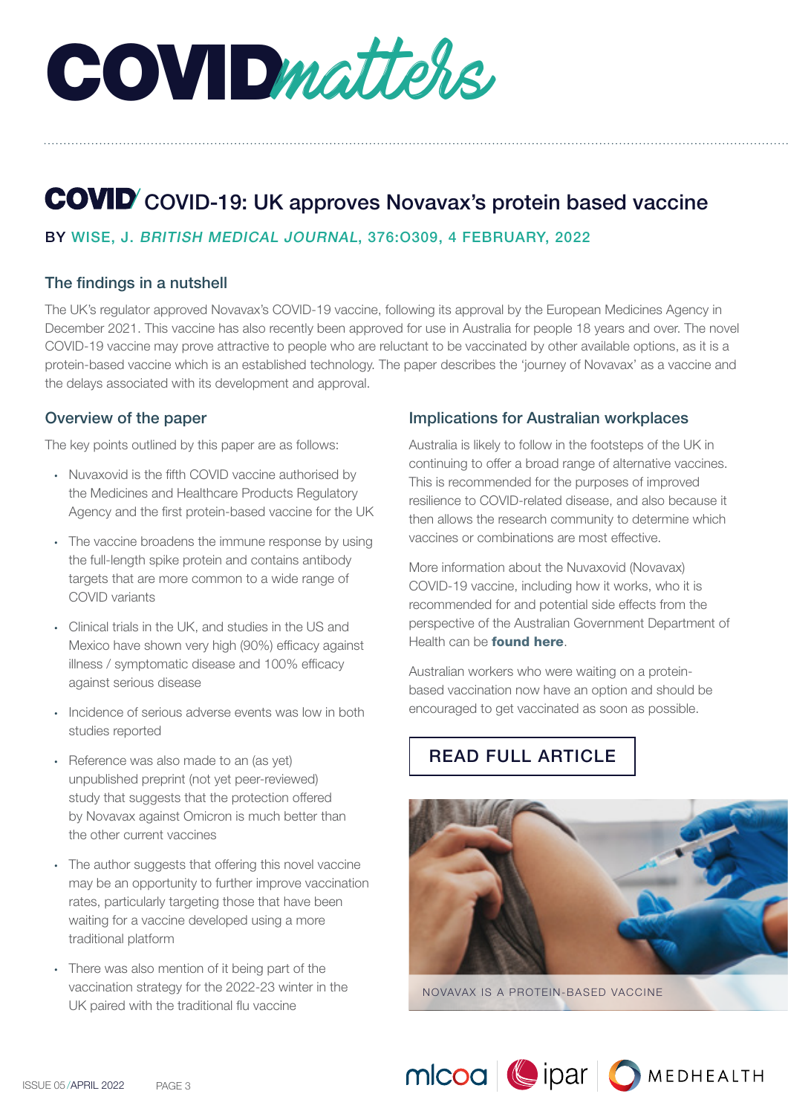COVIDmatters,

# COVID-19: UK approves Novavax's protein based vaccine

## BY WISE, J. BRITISH MEDICAL JOURNAL, 376:O309, 4 FEBRUARY, 2022

#### The findings in a nutshell

The UK's regulator approved Novavax's COVID-19 vaccine, following its approval by the European Medicines Agency in December 2021. This vaccine has also recently been approved for use in Australia for people 18 years and over. The novel COVID-19 vaccine may prove attractive to people who are reluctant to be vaccinated by other available options, as it is a protein-based vaccine which is an established technology. The paper describes the 'journey of Novavax' as a vaccine and the delays associated with its development and approval.

#### Overview of the paper

The key points outlined by this paper are as follows:

- Nuvaxovid is the fifth COVID vaccine authorised by the Medicines and Healthcare Products Regulatory Agency and the first protein-based vaccine for the UK
- The vaccine broadens the immune response by using the full-length spike protein and contains antibody targets that are more common to a wide range of COVID variants
- Clinical trials in the UK, and studies in the US and Mexico have shown very high (90%) efficacy against illness / symptomatic disease and 100% efficacy against serious disease
- Incidence of serious adverse events was low in both studies reported
- Reference was also made to an (as yet) unpublished preprint (not yet peer-reviewed) study that suggests that the protection offered by Novavax against Omicron is much better than the other current vaccines
- The author suggests that offering this novel vaccine may be an opportunity to further improve vaccination rates, particularly targeting those that have been waiting for a vaccine developed using a more traditional platform
- There was also mention of it being part of the vaccination strategy for the 2022-23 winter in the UK paired with the traditional flu vaccine

#### Implications for Australian workplaces

Australia is likely to follow in the footsteps of the UK in continuing to offer a broad range of alternative vaccines. This is recommended for the purposes of improved resilience to COVID-related disease, and also because it then allows the research community to determine which vaccines or combinations are most effective.

More information about the Nuvaxovid (Novavax) COVID-19 vaccine, including how it works, who it is recommended for and potential side effects from the perspective of the Australian Government Department of Health can be **[found here](https://www.health.gov.au/initiatives-and-programs/covid-19-vaccines/approved-vaccines/novavax)**.

Australian workers who were waiting on a proteinbased vaccination now have an option and should be encouraged to get vaccinated as soon as possible.

# [READ FULL ARTICLE](https://www.mlcoa.com.au/wp-content/uploads/2022/03/Wise_2022_BMJ_News.pdf)



NOVAVAX IS A PROTEIN-BASED VACCINE

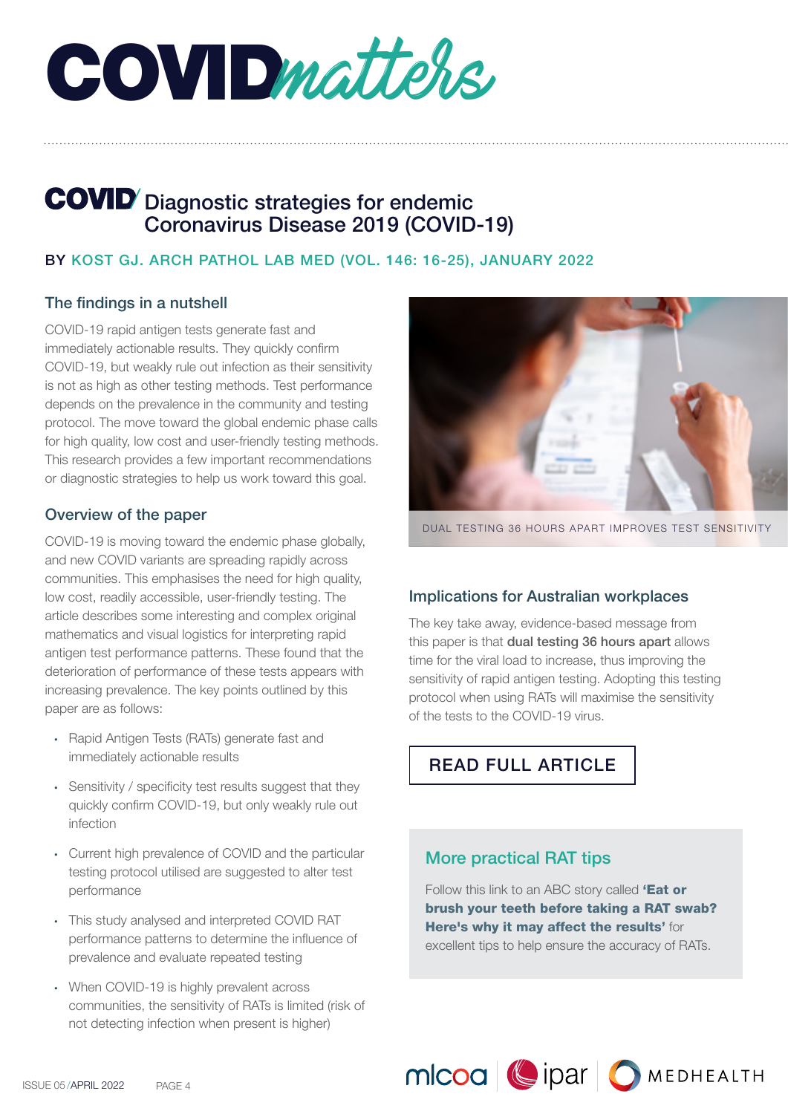COVIDmatters,

# **COVID** Diagnostic strategies for endemic Coronavirus Disease 2019 (COVID-19)

#### BY KOST GJ. ARCH PATHOL LAB MED (VOL. 146: 16-25), JANUARY 2022

#### The findings in a nutshell

COVID-19 rapid antigen tests generate fast and immediately actionable results. They quickly confirm COVID-19, but weakly rule out infection as their sensitivity is not as high as other testing methods. Test performance depends on the prevalence in the community and testing protocol. The move toward the global endemic phase calls for high quality, low cost and user-friendly testing methods. This research provides a few important recommendations or diagnostic strategies to help us work toward this goal.

#### Overview of the paper

COVID-19 is moving toward the endemic phase globally, and new COVID variants are spreading rapidly across communities. This emphasises the need for high quality, low cost, readily accessible, user-friendly testing. The article describes some interesting and complex original mathematics and visual logistics for interpreting rapid antigen test performance patterns. These found that the deterioration of performance of these tests appears with increasing prevalence. The key points outlined by this paper are as follows:

- Rapid Antigen Tests (RATs) generate fast and immediately actionable results
- Sensitivity / specificity test results suggest that they quickly confirm COVID-19, but only weakly rule out infection
- Current high prevalence of COVID and the particular testing protocol utilised are suggested to alter test performance
- This study analysed and interpreted COVID RAT performance patterns to determine the influence of prevalence and evaluate repeated testing
- When COVID-19 is highly prevalent across communities, the sensitivity of RATs is limited (risk of not detecting infection when present is higher)



DUAL TESTING 36 HOURS APART IMPROVES TEST SENSITIVITY

#### Implications for Australian workplaces

The key take away, evidence-based message from this paper is that dual testing 36 hours apart allows time for the viral load to increase, thus improving the sensitivity of rapid antigen testing. Adopting this testing protocol when using RATs will maximise the sensitivity of the tests to the COVID-19 virus.



## More practical RAT tips

Follow this link to an ABC story called 'Eat or [brush your teeth before taking a RAT swab?](https://www.abc.net.au/everyday/why-you-shouldnt-eat-or-drink-before-saliva-rat-test/100914196)  [Here's why it may affect the results'](https://www.abc.net.au/everyday/why-you-shouldnt-eat-or-drink-before-saliva-rat-test/100914196) for excellent tips to help ensure the accuracy of RATs.

MICOO Cipar OMEDHEALTH

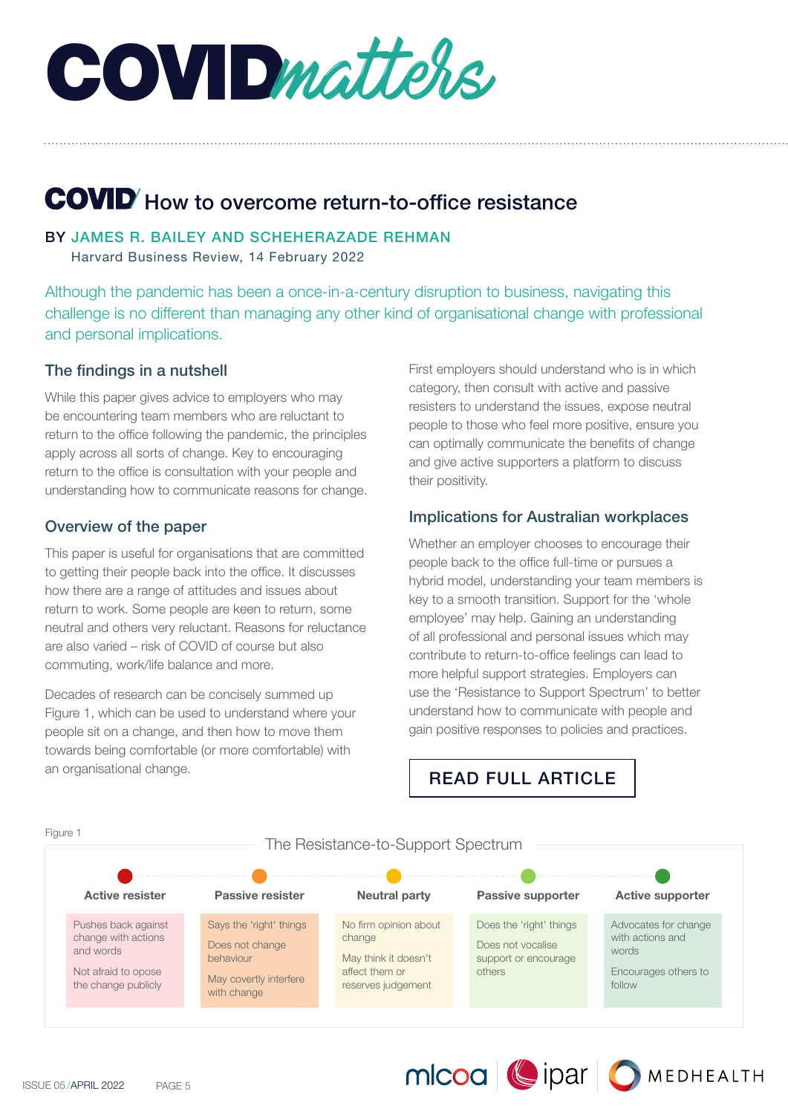COVIDmatters,

# COVID' How to overcome return-to-office resistance

#### BY JAMES R. BAILEY AND SCHEHERAZADE REHMAN

Harvard Business Review, 14 February 2022

Although the pandemic has been a once-in-a-century disruption to business, navigating this challenge is no different than managing any other kind of organisational change with professional and personal implications.

#### The findings in a nutshell

While this paper gives advice to employers who may be encountering team members who are reluctant to return to the office following the pandemic, the principles apply across all sorts of change. Key to encouraging return to the office is consultation with your people and understanding how to communicate reasons for change.

#### Overview of the paper

This paper is useful for organisations that are committed to getting their people back into the office. It discusses how there are a range of attitudes and issues about return to work. Some people are keen to return, some neutral and others very reluctant. Reasons for reluctance are also varied – risk of COVID of course but also commuting, work/life balance and more.

Decades of research can be concisely summed up Figure 1, which can be used to understand where your people sit on a change, and then how to move them towards being comfortable (or more comfortable) with an organisational change.

First employers should understand who is in which category, then consult with active and passive resisters to understand the issues, expose neutral people to those who feel more positive, ensure you can optimally communicate the benefits of change and give active supporters a platform to discuss their positivity.

#### Implications for Australian workplaces

Whether an employer chooses to encourage their people back to the office full-time or pursues a hybrid model, understanding your team members is key to a smooth transition. Support for the 'whole employee' may help. Gaining an understanding of all professional and personal issues which may contribute to return-to-office feelings can lead to more helpful support strategies. Employers can use the 'Resistance to Support Spectrum' to better understand how to communicate with people and gain positive responses to policies and practices.

MICOO Cipar OMEDHEALTH

# [READ FULL ARTICLE](https://hbr.org/2022/02/how-to-overcome-return-to-office-resistance)